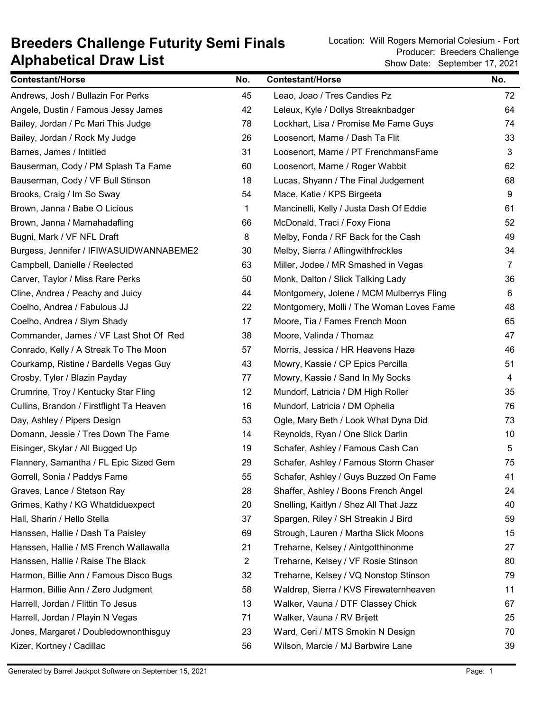## Alphabetical Draw List Breeders Challenge Futurity Semi Finals<br>Breeders Challenge Futurity Semi Finals<br>Producer: Breeders Challenge

Show Date: September 17, 2021 Producer: Breeders Challenge

| <b>Contestant/Horse</b>                  | No.            | <b>Contestant/Horse</b>                  | No.            |
|------------------------------------------|----------------|------------------------------------------|----------------|
| Andrews, Josh / Bullazin For Perks       | 45             | Leao, Joao / Tres Candies Pz             | 72             |
| Angele, Dustin / Famous Jessy James      | 42             | Leleux, Kyle / Dollys Streaknbadger      | 64             |
| Bailey, Jordan / Pc Mari This Judge      | 78             | Lockhart, Lisa / Promise Me Fame Guys    | 74             |
| Bailey, Jordan / Rock My Judge           | 26             | Loosenort, Marne / Dash Ta Flit          | 33             |
| Barnes, James / Intiitled                | 31             | Loosenort, Marne / PT FrenchmansFame     | 3              |
| Bauserman, Cody / PM Splash Ta Fame      | 60             | Loosenort, Marne / Roger Wabbit          | 62             |
| Bauserman, Cody / VF Bull Stinson        | 18             | Lucas, Shyann / The Final Judgement      | 68             |
| Brooks, Craig / Im So Sway               | 54             | Mace, Katie / KPS Birgeeta               | 9              |
| Brown, Janna / Babe O Licious            | 1              | Mancinelli, Kelly / Justa Dash Of Eddie  | 61             |
| Brown, Janna / Mamahadafling             | 66             | McDonald, Traci / Foxy Fiona             | 52             |
| Bugni, Mark / VF NFL Draft               | 8              | Melby, Fonda / RF Back for the Cash      | 49             |
| Burgess, Jennifer / IFIWASUIDWANNABEME2  | 30             | Melby, Sierra / Aflingwithfreckles       | 34             |
| Campbell, Danielle / Reelected           | 63             | Miller, Jodee / MR Smashed in Vegas      | $\overline{7}$ |
| Carver, Taylor / Miss Rare Perks         | 50             | Monk, Dalton / Slick Talking Lady        | 36             |
| Cline, Andrea / Peachy and Juicy         | 44             | Montgomery, Jolene / MCM Mulberrys Fling | 6              |
| Coelho, Andrea / Fabulous JJ             | 22             | Montgomery, Molli / The Woman Loves Fame | 48             |
| Coelho, Andrea / Slym Shady              | 17             | Moore, Tia / Fames French Moon           | 65             |
| Commander, James / VF Last Shot Of Red   | 38             | Moore, Valinda / Thomaz                  | 47             |
| Conrado, Kelly / A Streak To The Moon    | 57             | Morris, Jessica / HR Heavens Haze        | 46             |
| Courkamp, Ristine / Bardells Vegas Guy   | 43             | Mowry, Kassie / CP Epics Percilla        | 51             |
| Crosby, Tyler / Blazin Payday            | 77             | Mowry, Kassie / Sand In My Socks         | 4              |
| Crumrine, Troy / Kentucky Star Fling     | 12             | Mundorf, Latricia / DM High Roller       | 35             |
| Cullins, Brandon / Firstflight Ta Heaven | 16             | Mundorf, Latricia / DM Ophelia           | 76             |
| Day, Ashley / Pipers Design              | 53             | Ogle, Mary Beth / Look What Dyna Did     | 73             |
| Domann, Jessie / Tres Down The Fame      | 14             | Reynolds, Ryan / One Slick Darlin        | 10             |
| Eisinger, Skylar / All Bugged Up         | 19             | Schafer, Ashley / Famous Cash Can        | 5              |
| Flannery, Samantha / FL Epic Sized Gem   | 29             | Schafer, Ashley / Famous Storm Chaser    | 75             |
| Gorrell, Sonia / Paddys Fame             | 55             | Schafer, Ashley / Guys Buzzed On Fame    | 41             |
| Graves, Lance / Stetson Ray              | 28             | Shaffer, Ashley / Boons French Angel     | 24             |
| Grimes, Kathy / KG Whatdiduexpect        | 20             | Snelling, Kaitlyn / Shez All That Jazz   | 40             |
| Hall, Sharin / Hello Stella              | 37             | Spargen, Riley / SH Streakin J Bird      | 59             |
| Hanssen, Hallie / Dash Ta Paisley        | 69             | Strough, Lauren / Martha Slick Moons     | 15             |
| Hanssen, Hallie / MS French Wallawalla   | 21             | Treharne, Kelsey / Aintgotthinonme       | 27             |
| Hanssen, Hallie / Raise The Black        | $\overline{2}$ | Treharne, Kelsey / VF Rosie Stinson      | 80             |
| Harmon, Billie Ann / Famous Disco Bugs   | 32             | Treharne, Kelsey / VQ Nonstop Stinson    | 79             |
| Harmon, Billie Ann / Zero Judgment       | 58             | Waldrep, Sierra / KVS Firewaternheaven   | 11             |
| Harrell, Jordan / Flittin To Jesus       | 13             | Walker, Vauna / DTF Classey Chick        | 67             |
| Harrell, Jordan / Playin N Vegas         | 71             | Walker, Vauna / RV Brijett               | 25             |
| Jones, Margaret / Doubledownonthisguy    | 23             | Ward, Ceri / MTS Smokin N Design         | 70             |
| Kizer, Kortney / Cadillac                | 56             | Wilson, Marcie / MJ Barbwire Lane        | 39             |